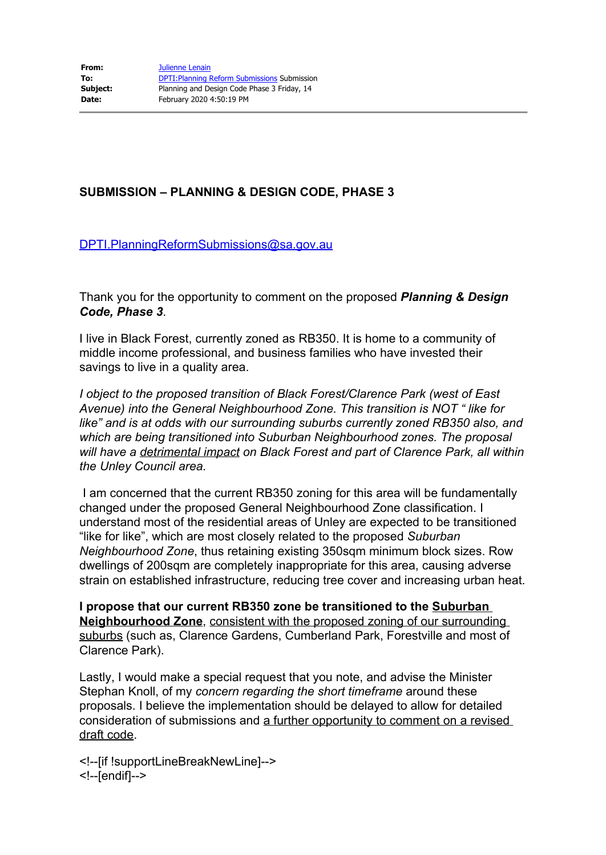## **SUBMISSION – PLANNING & DESIGN CODE, PHASE 3**

## [DPTI.PlanningReformSubmissions@sa.gov.au](mailto:DPTI.PlanningReformSubmissions@sa.gov.au)

Thank you for the opportunity to comment on the proposed *Planning & Design Code, Phase 3*.

I live in Black Forest, currently zoned as RB350. It is home to a community of middle income professional, and business families who have invested their savings to live in a quality area.

*I object to the proposed transition of Black Forest/Clarence Park (west of East Avenue) into the General Neighbourhood Zone. This transition is NOT " like for like" and is at odds with our surrounding suburbs currently zoned RB350 also, and which are being transitioned into Suburban Neighbourhood zones. The proposal will have a detrimental impact on Black Forest and part of Clarence Park, all within the Unley Council area.*

I am concerned that the current RB350 zoning for this area will be fundamentally changed under the proposed General Neighbourhood Zone classification. I understand most of the residential areas of Unley are expected to be transitioned "like for like", which are most closely related to the proposed *Suburban Neighbourhood Zone*, thus retaining existing 350sqm minimum block sizes. Row dwellings of 200sqm are completely inappropriate for this area, causing adverse strain on established infrastructure, reducing tree cover and increasing urban heat.

**I propose that our current RB350 zone be transitioned to the Suburban Neighbourhood Zone**, consistent with the proposed zoning of our surrounding suburbs (such as, Clarence Gardens, Cumberland Park, Forestville and most of Clarence Park).

Lastly, I would make a special request that you note, and advise the Minister Stephan Knoll, of my *concern regarding the short timeframe* around these proposals. I believe the implementation should be delayed to allow for detailed consideration of submissions and a further opportunity to comment on a revised draft code.

<!--[if !supportLineBreakNewLine]--> <!--[endif]-->